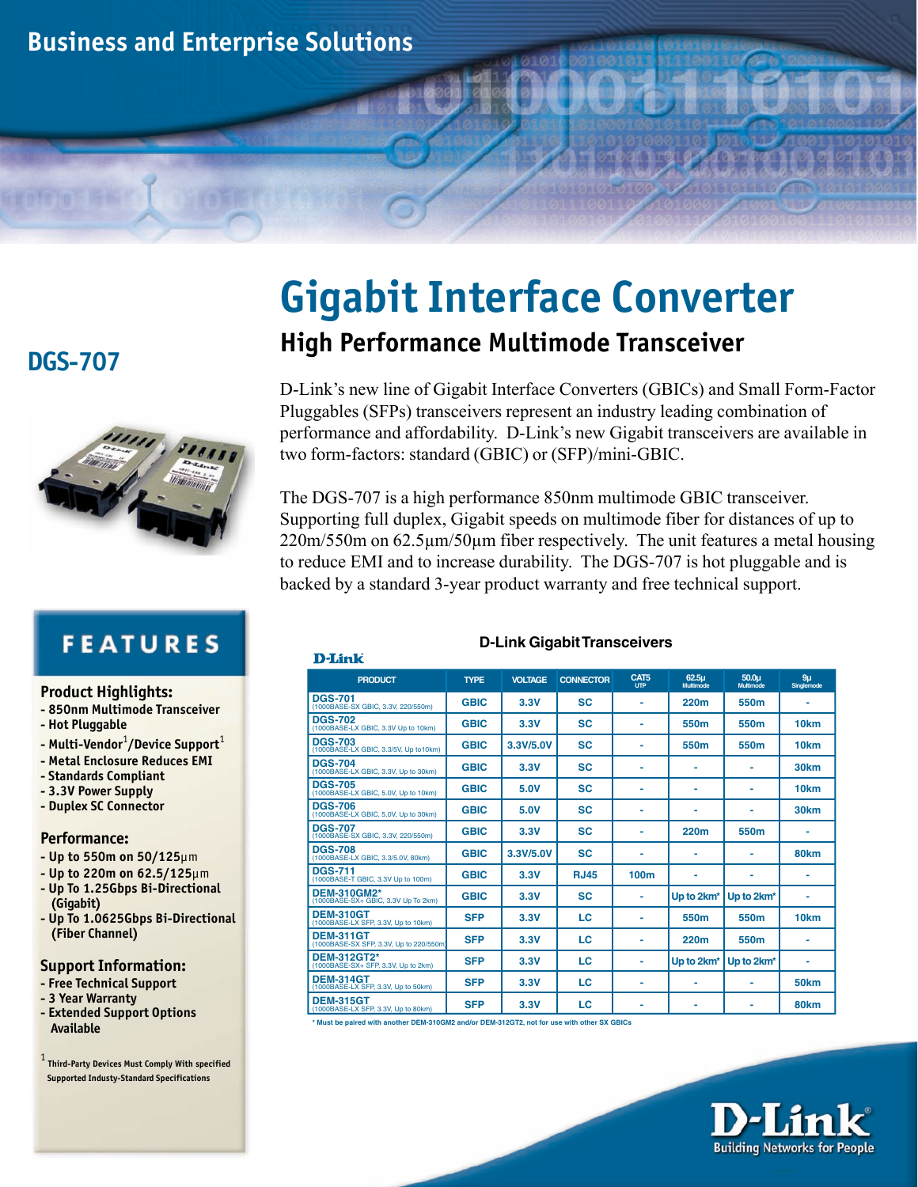

## **DGS-707**



# **FEATURES**

- **Product Highlights:**
- **850nm Multimode Transceiver**
- **Hot Pluggable**
- **Multi-Vendor**<sup>1</sup> **/Device Support**<sup>1</sup>
- **Metal Enclosure Reduces EMI**
- **Standards Compliant**
- **3.3V Power Supply**
- **Duplex SC Connector**

#### **Performance:**

- **Up to 550m on 50/125**µm
- **Up to 220m on 62.5/125**µm
- **Up To 1.25Gbps Bi-Directional (Gigabit)**
- **Up To 1.0625Gbps Bi-Directional (Fiber Channel)**

#### **Support Information:**

- **Free Technical Support**
- **3 Year Warranty**
- **Extended Support Options Available**

1  **Third-Party Devices Must Comply With specified Supported Industy-Standard Specifications**

# **Gigabit Interface Converter High Performance Multimode Transceiver**

D-Link's new line of Gigabit Interface Converters (GBICs) and Small Form-Factor Pluggables (SFPs) transceivers represent an industry leading combination of performance and affordability. D-Link's new Gigabit transceivers are available in two form-factors: standard (GBIC) or (SFP)/mini-GBIC.

The DGS-707 is a high performance 850nm multimode GBIC transceiver. Supporting full duplex, Gigabit speeds on multimode fiber for distances of up to 220m/550m on 62.5µm/50µm fiber respectively. The unit features a metal housing to reduce EMI and to increase durability. The DGS-707 is hot pluggable and is backed by a standard 3-year product warranty and free technical support.

**D-Link Gigabit Transceivers**

| D-Link                                                      |             |                |                  |                    |                                |                                |                              |
|-------------------------------------------------------------|-------------|----------------|------------------|--------------------|--------------------------------|--------------------------------|------------------------------|
| <b>PRODUCT</b>                                              | <b>TYPE</b> | <b>VOLTAGE</b> | <b>CONNECTOR</b> | CAT5<br><b>UTP</b> | 62.5 <sub>µ</sub><br>Multimode | 50.0 <sub>u</sub><br>Multimode | 9 <sub>u</sub><br>Singlemode |
| <b>DGS-701</b><br>(1000BASE-SX GBIC, 3.3V, 220/550m)        | <b>GBIC</b> | 3.3V           | <b>SC</b>        | ٠                  | 220m                           | 550m                           |                              |
| <b>DGS-702</b><br>(1000BASE-LX GBIC, 3.3V Up to 10km)       | <b>GBIC</b> | 3.3V           | SC               |                    | 550m                           | 550m                           | 10km                         |
| <b>DGS-703</b><br>(1000BASE-LX GBIC, 3.3/5V, Up to 10km)    | <b>GBIC</b> | 3.3V/5.0V      | <b>SC</b>        | ٠                  | 550 <sub>m</sub>               | 550m                           | 10 <sub>km</sub>             |
| <b>DGS-704</b><br>(1000BASE-LX GBIC, 3.3V, Up to 30km)      | <b>GBIC</b> | 3.3V           | <b>SC</b>        | ۰                  |                                |                                | 30 <sub>km</sub>             |
| <b>DGS-705</b><br>(1000BASE-LX GBIC, 5.0V, Up to 10km)      | <b>GBIC</b> | 5.0V           | <b>SC</b>        | ۰                  | ۰                              | ۰                              | 10 <sub>km</sub>             |
| <b>DGS-706</b><br>(1000BASE-LX GBIC, 5,0V, Up to 30km)      | <b>GBIC</b> | 5.0V           | SC               | ۰                  | ۰                              | ۰                              | 30km                         |
| <b>DGS-707</b><br>(1000BASE-SX GBIC, 3.3V, 220/550m)        | <b>GBIC</b> | 3.3V           | SC               |                    | 220m                           | 550m                           |                              |
| <b>DGS-708</b><br>(1000BASE-LX GBIC, 3.3/5.0V, 80km)        | <b>GBIC</b> | 3.3V/5.0V      | <b>SC</b>        | ۰                  | ۰                              | ۰                              | 80 <sub>km</sub>             |
| <b>DGS-711</b><br>(1000BASE-T GBIC, 3.3V Up to 100m)        | <b>GBIC</b> | 3.3V           | <b>RJ45</b>      | 100m               | ۰                              | ۰                              |                              |
| <b>DEM-310GM2*</b><br>(1000BASE-SX+ GBIC, 3.3V Up To 2km)   | <b>GBIC</b> | 3.3V           | <b>SC</b>        | ٠                  | Up to 2km <sup>*</sup>         | Up to 2km*                     | ä,                           |
| <b>DEM-310GT</b><br>(1000BASE-LX SFP, 3.3V, Up to 10km)     | <b>SFP</b>  | 3.3V           | LC               | ۰                  | 550 <sub>m</sub>               | 550m                           | 10 <sub>km</sub>             |
| <b>DEM-311GT</b><br>(1000BASE-SX SFP, 3.3V, Up to 220/550m) | <b>SFP</b>  | 3.3V           | LC               | ۰                  | 220m                           | 550m                           | ۰                            |
| <b>DEM-312GT2*</b><br>(1000BASE-SX+ SFP, 3.3V, Up to 2km)   | <b>SFP</b>  | 3.3V           | LC               | ۰                  | Up to 2km*                     | Up to 2km*                     |                              |
| <b>DEM-314GT</b><br>(1000BASE-LX SFP, 3.3V, Up to 50km)     | <b>SFP</b>  | 3.3V           | LC               | ۰                  | ۰                              | $\blacksquare$                 | <b>50km</b>                  |
| <b>DEM-315GT</b><br>(1000BASE-LX SFP, 3.3V, Up to 80km)     | <b>SFP</b>  | 3.3V           | LC               | ۰                  | ۰                              | ۰                              | 80 <sub>km</sub>             |

**\* Must be paired with another DEM-310GM2 and/or DEM-312GT2, not for use with other SX GBICs**